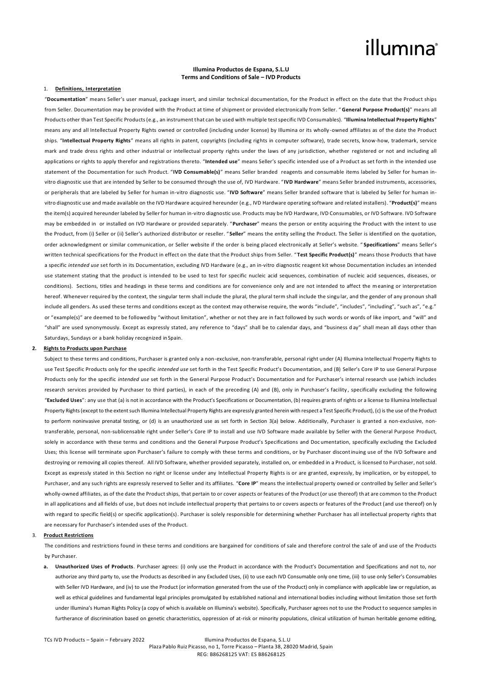### **Illumina Productos de Espana, S.L.U Terms and Conditions of Sale – IVD Products**

## 1. **Definitions, Interpretation**

"**Documentation**" means Seller's user manual, package insert, and similar technical documentation, for the Product in effect on the date that the Product ships from Seller. Documentation may be provided with the Product at time of shipment or provided electronically from Seller. " **General Purpose Product(s)**" means all Products other than Test Specific Products (e.g., an instrument that can be used with multiple test specific IVD Consumables). "**Illumina Intellectual Property Rights**" means any and all Intellectual Property Rights owned or controlled (including under license) by Illumina or its wholly -owned affiliates as of the date the Product ships. "**Intellectual Property Rights**" means all rights in patent, copyrights (including rights in computer software), trade secrets, know-how, trademark, service mark and trade dress rights and other industrial or intellectual property rights under the laws of any jurisdiction, whether registered or not and including all applications or rights to apply therefor and registrations thereto. "**Intended use**" means Seller's specific intended use of a Product as set forth in the intended use statement of the Documentation for such Product. "**IVD Consumable(s)**" means Seller branded reagents and consumable items labeled by Seller for human invitro diagnostic use that are intended by Seller to be consumed through the use of, IVD Hardware. " **IVD Hardware**" means Seller branded instruments, accessories, or peripherals that are labeled by Seller for human in-vitro diagnostic use. "**IVD Software**" means Seller branded software that is labeled by Seller for human invitro diagnostic use and made available on the IVD Hardware acquired hereunder (e.g., IVD Hardware operating software and related installers). "**Product(s)**" means the item(s) acquired hereunder labeled by Seller for human in-vitro diagnostic use. Products may be IVD Hardware, IVD Consumables, or IVD Software. IVD Software may be embedded in or installed on IVD Hardware or provided separately. "**Purchaser**" means the person or entity acquiring the Product with the intent to use the Product, from (i) Seller or (ii) Seller's authorized distributor or reseller. " **Seller**" means the entity selling the Product. The Seller is identified on the quotation, order acknowledgment or similar communication, or Seller website if the order is being placed electronically at Seller's website. " **Specifications**" means Seller's written technical specifications for the Product in effect on the date that the Product ships from Seller. "**Test Specific Product(s)**" means those Products that have a specific *intended use* set forth in its Documentation, excluding IVD Hardware (e.g., an in-vitro diagnostic reagent kit whose Documentation includes an intended use statement stating that the product is intended to be used to test for specific nucleic acid sequences, combination of nucleic acid sequences, diseases, or conditions). Sections, titles and headings in these terms and conditions are for convenience only and are not intended to affect the meaning or interpretation hereof. Whenever required by the context, the singular term shall include the plural, the plural term shall include the singular, and the gender of any pronoun shall include all genders. As used these terms and conditions except as the context may otherwise require, the words "include", "includes", "including", "such as", "e.g." or "example(s)" are deemed to be followed by "without limitation", whether or not they are in fact followed by such words or words of like import, and "will" and "shall" are used synonymously. Except as expressly stated, any reference to "days" shall be to calendar days, and "business d ay" shall mean all days other than Saturdays, Sundays or a bank holiday recognized inSpain.

### **2. Rights to Products upon Purchase**

Subject to these terms and conditions, Purchaser is granted only a non-exclusive, non-transferable, personal right under (A) Illumina Intellectual Property Rights to use Test Specific Products only for the specific *intended use* set forth in the Test Specific Product's Documentation, and (B) Seller's Core IP to use General Purpose Products only for the specific *intended use* set forth in the General Purpose Product's Documentation and for Purchaser's internal research use (which includes research services provided by Purchaser to third parties), in each of the preceding (A) and (B), only in Purchaser's facility , specifically excluding the following "**Excluded Uses**": any use that (a) is not in accordance with the Product's Specifications or Documentation, (b) requires grants of rights or a license to Illumina Intellectual Property Rights (except to the extent such Illumina Intellectual Property Rights are expressly granted herein with respect a Test Specific Product), (c) is the use of the Product to perform noninvasive prenatal testing, or (d) is an unauthorized use as set forth in Section 3(a) below. Additionally, Purchaser is granted a non-exclusive, nontransferable, personal, non-sublicensable right under Seller's Core IP to install and use IVD Software made available by Seller with the General Purpose Product, solely in accordance with these terms and conditions and the General Purpose Product's Specifications and Doc umentation, specifically excluding the Excluded Uses; this license will terminate upon Purchaser's failure to comply with these terms and conditions, or by Purchaser discontinuing use of the IVD Software and destroying or removing all copies thereof. All IVD Software, whether provided separately, installed on, or embedded in a Product, is licensed to Purchaser, not sold. Except as expressly stated in this Section no right or license under any Intellectual Property Rights is or are granted, expressly, by implication, or by estoppel, to Purchaser, and any such rights are expressly reserved to Seller and its affiliates. "**Core IP**" means the intellectual property owned or controlled by Seller and Seller's wholly-owned affiliates, as of the date the Product ships, that pertain to or cover aspects or features of the Product (or use thereof) th at are common to the Product in all applications and all fields of use, but does not include intellectual property that pertains to or covers aspects or features of the Product (and use thereof) on ly with regard to specific field(s) or specific application(s). Purchaser is solely responsible for determining whether Purchaser has all intellectual property rights that are necessary for Purchaser's intended uses of the Product.

### 3. **Product Restrictions**

The conditions and restrictions found in these terms and conditions are bargained for conditions of sale and therefore control the sale of and use of the Products by Purchaser.

**a. Unauthorized Uses of Products**. Purchaser agrees: (i) only use the Product in accordance with the Product's Documentation and Specifications and not to, nor authorize any third party to, use the Products as described in any Excluded Uses, (ii) to use each IVD Consumable only one time, (iii) to use only Seller's Consumables with Seller IVD Hardware, and (iv) to use the Product (or information generated from the use of the Product) only in compliance with applicable law or regulation, as well as ethical guidelines and fundamental legal principles promulgated by established national and international bodies including without limitation those set forth under Illumina's Human Rights Policy (a copy of which is available on Illumina's website). Specifically, Purchaser agrees not to use the Product to sequence samples in furtherance of discrimination based on genetic characteristics, oppression of at-risk or minority populations, clinical utilization of human heritable genome editing,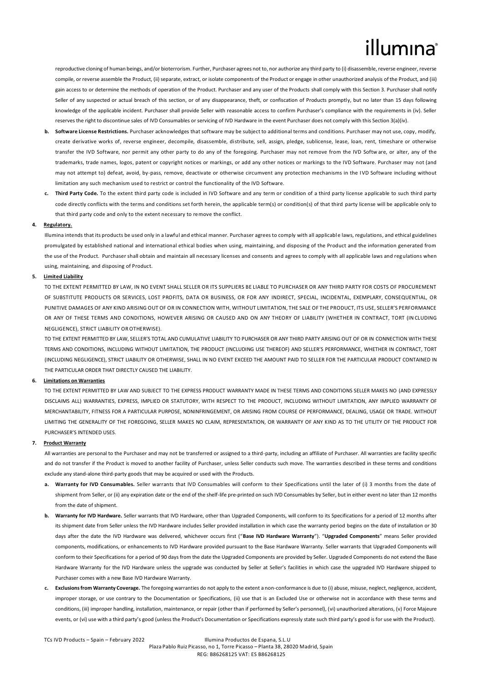reproductive cloning of human beings, and/or bioterrorism. Further, Purchaser agrees not to, nor authorize any third party to (i) disassemble, reverse engineer, reverse compile, or reverse assemble the Product, (ii) separate, extract, or isolate components of the Product or engage in other unauthorized analysis of the Product, and (iii) gain access to or determine the methods of operation of the Product. Purchaser and any user of the Products shall comply with this Section 3. Purchaser shall notify Seller of any suspected or actual breach of this section, or of any disappearance, theft, or confiscation of Products promptly, but no later than 15 days following knowledge of the applicable incident. Purchaser shall provide Seller with reasonable access to confirm Purchaser's compliance with the requirements in (iv). Seller reserves the right to discontinue sales of IVD Consumables or servicing of IVD Hardware in the event Purchaser does not comply with this Section 3(a)(iv).

- **b. Software License Restrictions.** Purchaser acknowledges that software may be subject to additional terms and conditions. Purchaser may not use, copy, modify, create derivative works of, reverse engineer, decompile, disassemble, distribute, sell, assign, pledge, sublicense, lease, loan, rent, timeshare or otherwise transfer the IVD Software, nor permit any other party to do any of the foregoing. Purchaser may not remove from the IVD Softw are, or alter, any of the trademarks, trade names, logos, patent or copyright notices or markings, or add any other notices or markings to the IVD Software. Purchaser may not (and may not attempt to) defeat, avoid, by-pass, remove, deactivate or otherwise circumvent any protection mechanisms in the IVD Software including without limitation any such mechanism used to restrict or control the functionality of the IVD Software.
- **c. Third Party Code.** To the extent third party code is included in IVD Software and any term or condition of a third party license applicable to such third party code directly conflicts with the terms and conditions set forth herein, the applicable term(s) or condition(s) of that third party license will be applicable only to that third party code and only to the extent necessary to remove the conflict.

### **4. Regulatory.**

Illumina intends that its products be used only in a lawful and ethical manner. Purchaser agrees to comply with all applicabl e laws, regulations, and ethical guidelines promulgated by established national and international ethical bodies when using, maintaining, and disposing of the Product and the information generated from the use of the Product. Purchaser shall obtain and maintain all necessary licenses and consents and agrees to comply with all applicable laws and regulations when using, maintaining, and disposing of Product.

## **5. Limited Liability**

TO THE EXTENT PERMITTED BY LAW, IN NO EVENT SHALL SELLER OR ITS SUPPLIERS BE LIABLE TO PURCHASER OR ANY THIRD PARTY FOR COSTS OF PROCUREMENT OF SUBSTITUTE PRODUCTS OR SERVICES, LOST PROFITS, DATA OR BUSINESS, OR FOR ANY INDIRECT, SPECIAL, INCIDENTAL, EXEMPLARY, CONSEQUENTIAL, OR PUNITIVE DAMAGES OF ANY KIND ARISING OUT OF OR IN CONNECTION WITH, WITHOUT LIMITATION, THE SALE OF THE PRODUCT, ITS USE, SELLER'S PERFORMANCE OR ANY OF THESE TERMS AND CONDITIONS, HOWEVER ARISING OR CAUSED AND ON ANY THEORY OF LIABILITY (WHETHER IN CONTRACT, TORT (IN CLUDING NEGLIGENCE), STRICT LIABILITY OROTHERWISE).

TO THE EXTENT PERMITTED BY LAW, SELLER'S TOTAL AND CUMULATIVE LIABILITY TO PURCHASER OR ANY THIRD PARTY ARISING OUT OF OR IN CONNECTION WITH THESE TERMS AND CONDITIONS, INCLUDING WITHOUT LIMITATION, THE PRODUCT (INCLUDING USE THEREOF) AND SELLER'S PERFORMANCE, WHETHER IN CONTRACT, TORT (INCLUDING NEGLIGENCE), STRICT LIABILITY OR OTHERWISE, SHALL IN NO EVENT EXCEED THE AMOUNT PAID TO SELLER FOR THE PARTICULAR PRODUCT CONTAINED IN THE PARTICULAR ORDER THAT DIRECTLY CAUSED THE LIABILITY.

### **6. Limitations on Warranties**

TO THE EXTENT PERMITTED BY LAW AND SUBJECT TO THE EXPRESS PRODUCT WARRANTY MADE IN THESE TERMS AND CONDITIONS SELLER MAKES NO (AND EXPRESSLY DISCLAIMS ALL) WARRANTIES, EXPRESS, IMPLIED OR STATUTORY, WITH RESPECT TO THE PRODUCT, INCLUDING WITHOUT LIMITATION, ANY IMPLIED WARRANTY OF MERCHANTABILITY, FITNESS FOR A PARTICULAR PURPOSE, NONINFRINGEMENT, OR ARISING FROM COURSE OF PERFORMANCE, DEALING, USAGE OR TRADE. WITHOUT LIMITING THE GENERALITY OF THE FOREGOING, SELLER MAKES NO CLAIM, REPRESENTATION, OR WARRANTY OF ANY KIND AS TO THE UTILITY OF THE PRODUCT FOR PURCHASER'S INTENDED USES.

## **7. Product Warranty**

All warranties are personal to the Purchaser and may not be transferred or assigned to a third-party, including an affiliate of Purchaser. All warranties are facility specific and do not transfer if the Product is moved to another facility of Purchaser, unless Seller conducts such move. The warranties described in these terms and conditions exclude any stand-alone third-party goods that may be acquired or used with the Products.

- **a. Warranty for IVD Consumables.** Seller warrants that IVD Consumables will conform to their Specifications until the later of (i) 3 months from the date of shipment from Seller, or (ii) any expiration date or the end of the shelf-life pre-printed on such IVD Consumables by Seller, but in either event no later than 12 months from the date of shipment.
- **b. Warranty for IVD Hardware.** Seller warrants that IVD Hardware, other than Upgraded Components, will conform to its Specifications for a period of 12 months after its shipment date from Seller unless the IVD Hardware includes Seller provided installation in which case the warranty period begins on the date of installation or 30 days after the date the IVD Hardware was delivered, whichever occurs first ("**Base IVD Hardware Warranty**"). "**Upgraded Components**" means Seller provided components, modifications, or enhancements to IVD Hardware provided pursuant to the Base Hardware Warranty. Seller warrants that Upgraded Components will conform to their Specifications for a period of 90 days from the date the Upgraded Components are provided by Seller. Upgraded Components do not extend the Base Hardware Warranty for the IVD Hardware unless the upgrade was conducted by Seller at Seller's facilities in which case the upgraded IVD Hardware shipped to Purchaser comes with a new Base IVD Hardware Warranty.
- **c. Exclusions from Warranty Coverage.** The foregoing warranties do not apply to the extent a non-conformance is due to (i) abuse, misuse, neglect, negligence, accident, improper storage, or use contrary to the Documentation or Specifications, (ii) use that is an Excluded Use or otherwise not in accordance with these terms and conditions, (iii) improper handling, installation, maintenance, or repair (other than if performed by Seller's personnel), (vi) unauthorized alterations, (v) Force Majeure events, or (vi) use with a third party's good (unless the Product's Documentation or Specifications expressly state such third party's good is for use with the Product).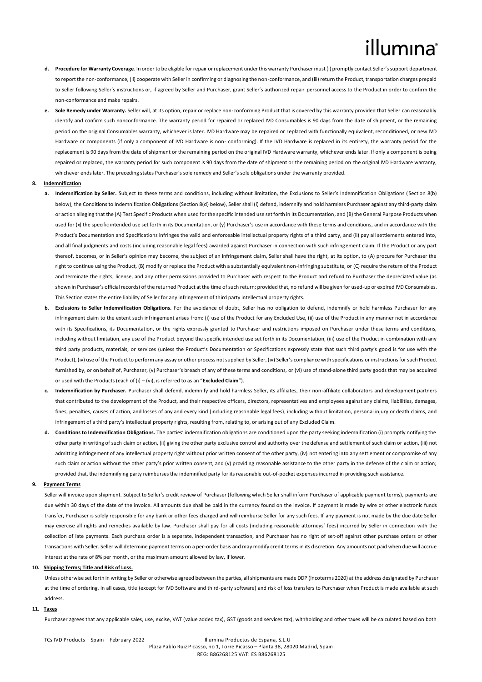- **d. Procedure for Warranty Coverage**. In order to be eligible for repair or replacement under this warranty Purchaser must (i) promptly contact Seller's support department to report the non-conformance, (ii) cooperate with Seller in confirming or diagnosing the non-conformance, and (iii) return the Product, transportation charges prepaid to Seller following Seller's instructions or, if agreed by Seller and Purchaser, grant Seller's authorized repair personnel access to the Product in order to confirm the non-conformance and make repairs.
- **e. Sole Remedy under Warranty.** Seller will, at its option, repair or replace non-conforming Product that is covered by this warranty provided that Seller can reasonably identify and confirm such nonconformance. The warranty period for repaired or replaced IVD Consumables is 90 days from the date of shipment, or the remaining period on the original Consumables warranty, whichever is later. IVD Hardware may be repaired or replaced with functionally equivalent, reconditioned, or new IVD Hardware or components (if only a component of IVD Hardware is non- conforming). If the IVD Hardware is replaced in its entirety, the warranty period for the replacement is 90 days from the date of shipment or the remaining period on the original IVD Hardware warranty, whichever ends later. If only a component is being repaired or replaced, the warranty period for such component is 90 days from the date of shipment or the remaining period on the original IVD Hardware warranty, whichever ends later. The preceding states Purchaser's sole remedy and Seller's sole obligations under the warranty provided.

### **8. Indemnification**

- **a. Indemnification by Seller.** Subject to these terms and conditions, including without limitation, the Exclusions to Seller's Indemnification Obligations (Section 8(b) below), the Conditions to Indemnification Obligations (Section 8(d) below), Seller shall (i) defend, indemnify and hold harmless Purchaser against any third-party claim or action alleging that the (A) Test Specific Products when used for the specific intended use set forth in its Documentation, and (B) the General Purpose Products when used for (x) the specific intended use set forth in its Documentation, or (y) Purchaser's use in accordance with these terms and conditions, and in accordance with the Product's Documentation and Specifications infringes the valid and enforceable intellectual property rights of a third party, and (ii) pay all settlements entered into, and all final judgments and costs (including reasonable legal fees) awarded against Purchaser in connection with such infringement claim. If the Product or any part thereof, becomes, or in Seller's opinion may become, the subject of an infringement claim, Seller shall have the right, at its option, to (A) procure for Purchaser the right to continue using the Product, (B) modify or replace the Product with a substantially equivalent non-infringing substitute, or (C) require the return of the Product and terminate the rights, license, and any other permissions provided to Purchaser with respect to the Product and refund to Purchaser the depreciated value (as shown in Purchaser's official records) of the returned Product at the time of such return; provided that, no refund will be given for used-up or expired IVD Consumables. This Section states the entire liability of Seller for any infringement of third party intellectual property rights.
- **b. Exclusions to Seller Indemnification Obligations.** For the avoidance of doubt, Seller has no obligation to defend, indemnify or hold harmless Purchaser for any infringement claim to the extent such infringement arises from: (i) use of the Product for any Excluded Use, (ii) use of the Product in any manner not in accordance with its Specifications, its Documentation, or the rights expressly granted to Purchaser and restrictions imposed on Purchaser under these terms and conditions, including without limitation, any use of the Product beyond the specific intended use set forth in its Documentation, (iii) use of the Product in combination with any third party products, materials, or services (unless the Product's Documentation or Specifications expressly state that such third party's good is for use with the Product), (iv) use of the Product to perform any assay or other process not supplied by Seller, (iv) Seller's compliance with specifications or instructions for such Product furnished by, or on behalf of, Purchaser, (v) Purchaser's breach of any of these terms and conditions, or (vi) use of stand-alone third party goods that may be acquired or used with the Products (each of (i) – (vi), is referred to as an "**Excluded Claim**").
- **c. Indemnification by Purchaser.** Purchaser shall defend, indemnify and hold harmless Seller, its affiliates, their non-affiliate collaborators and development partners that contributed to the development of the Product, and their respective officers, directors, representatives and employees against any claims, liabilities, damages, fines, penalties, causes of action, and losses of any and every kind (including reasonable legal fees), including without limitation, personal injury or death claims, and infringement of a third party's intellectual property rights, resulting from, relating to, or arising out of any Excluded Claim.
- **d. Conditions to Indemnification Obligations.** The parties' indemnification obligations are conditioned upon the party seeking indemnification (i) promptly notifying the other party in writing of such claim or action, (ii) giving the other party exclusive control and authority over the defense and settlement of such claim or action, (iii) not admitting infringement of any intellectual property right without prior written consent of the other party, (iv) not entering into any settlement or compromise of any such claim or action without the other party's prior written consent, and (v) providing reasonable assistance to the other party in the defense of the claim or action; provided that, the indemnifying party reimburses the indemnified party for its reasonable out-of-pocket expenses incurred in providing such assistance.

### **9. Payment Terms**

Seller will invoice upon shipment. Subject to Seller's credit review of Purchaser (following which Seller shall inform Purchaser of applicable payment terms), payments are due within 30 days of the date of the invoice. All amounts due shall be paid in the currency found on the invoice. If payment is made by wire or other electronic funds transfer, Purchaser is solely responsible for any bank or other fees charged and will reimburse Seller for any such fees. If any payment is not made by the due date Seller may exercise all rights and remedies available by law. Purchaser shall pay for all costs (including reasonable attorneys' fees) incurred by Seller in connection with the collection of late payments. Each purchase order is a separate, independent transaction, and Purchaser has no right of set-off against other purchase orders or other transactions with Seller. Seller will determine payment terms on a per-order basis and may modify credit terms in its discretion. Any amounts not paid when due will accrue interest at the rate of 8% per month, or the maximum amount allowed by law, if lower.

### **10. Shipping Terms; Title and Risk of Loss.**

Unless otherwise set forth in writing by Seller or otherwise agreed between the parties, all shipments are made DDP (Incoterms 2020) at the address designated by Purchaser at the time of ordering. In all cases, title (except for IVD Software and third-party software) and risk of loss transfers to Purchaser when Product is made available at such address.

## **11. Taxes**

Purchaser agrees that any applicable sales, use, excise, VAT (value added tax), GST (goods and services tax), withholding and other taxes will be calculated based on both

### TCs IVD Products – Spain – February 2022 Illumina Productos de Espana, S.L.U Plaza Pablo Ruiz Picasso, no 1, Torre Picasso – Planta 38, 28020 Madrid, Spain REG: B86268125 VAT: ES B86268125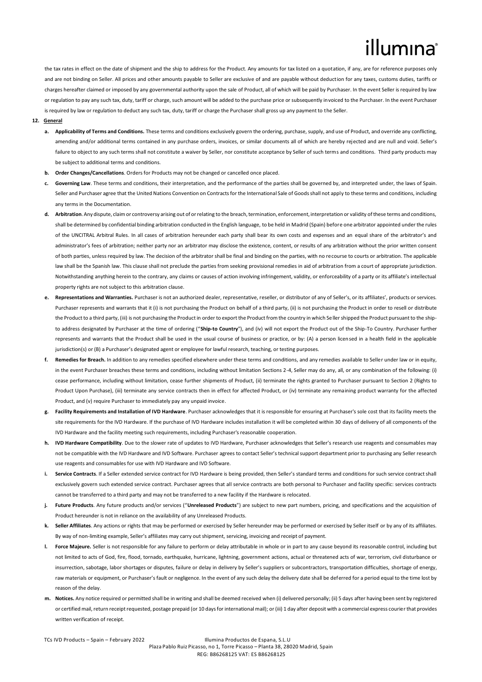the tax rates in effect on the date of shipment and the ship to address for the Product. Any amounts for tax listed on a quotation, if any, are for reference purposes only and are not binding on Seller. All prices and other amounts payable to Seller are exclusive of and are payable without deduction for any taxes, customs duties, tariffs or charges hereafter claimed or imposed by any governmental authority upon the sale of Product, all of which will be paid by Purchaser. In the event Seller is required by law or regulation to pay any such tax, duty, tariff or charge, such amount will be added to the purchase price or subsequently invoiced to the Purchaser. In the event Purchaser is required by law or regulation to deduct any such tax, duty, tariff or charge the Purchaser shall gross up any payment to the Seller.

### **12. General**

- **a. Applicability of Terms and Conditions.** These terms and conditions exclusively govern the ordering, purchase, supply, and use of Product, and override any conflicting, amending and/or additional terms contained in any purchase orders, invoices, or similar documents all of which are hereby rejected and are null and void. Seller's failure to object to any such terms shall not constitute a waiver by Seller, nor constitute acceptance by Seller of such terms and conditions. Third party products may be subject to additional terms and conditions.
- **b. Order Changes/Cancellations**. Orders for Products may not be changed or cancelled once placed.
- **c. Governing Law**. These terms and conditions, their interpretation, and the performance of the parties shall be governed by, and interpreted under, the laws of Spain. Seller and Purchaser agree that the United Nations Convention on Contracts for the International Sale of Goods shall not apply to these terms and conditions, including any terms in the Documentation.
- **d. Arbitration**. Any dispute, claim or controversy arising out of or relating to the breach, termination, enforcement, interpretation or validity of these terms and conditions, shall be determined by confidential binding arbitration conducted in the English language, to be held in Madrid (Spain) before one arbitrator appointed under the rules of the UNCITRAL Arbitral Rules. In all cases of arbitration hereunder each party shall bear its own costs and expenses and an equal share of the arbitrator's and administrator's fees of arbitration; neither party nor an arbitrator may disclose the existence, content, or results of any arbitration without the prior written consent of both parties, unless required by law. The decision of the arbitrator shall be final and binding on the parties, with no recourse to courts or arbitration. The applicable law shall be the Spanish law. This clause shall not preclude the parties from seeking provisional remedies in aid of arbitration from a court of appropriate jurisdiction. Notwithstanding anything herein to the contrary, any claims or causes of action involving infringement, validity, or enforceability of a party or its affiliate's intellectual property rights are not subject to this arbitration clause.
- Representations and Warranties. Purchaser is not an authorized dealer, representative, reseller, or distributor of any of Seller's, or its affiliates', products or services. Purchaser represents and warrants that it (i) is not purchasing the Product on behalf of a third party, (ii) is not purchasing the Product in order to resell or distribute the Product to a third party, (iii) is not purchasing the Product in order to export the Product from the country in which Seller shipped the Product pursuant to the shipto address designated by Purchaser at the time of ordering ("**Ship-to Country**"), and (iv) will not export the Product out of the Ship-To Country. Purchaser further represents and warrants that the Product shall be used in the usual course of business or practice, or by: (A) a person licensed in a health field in the applicable jurisdiction(s) or (B) a Purchaser's designated agent or employee for lawful research, teaching, or testing purposes.
- **f. Remedies for Breach.** In addition to any remedies specified elsewhere under these terms and conditions, and any remedies available to Seller under law or in equity, in the event Purchaser breaches these terms and conditions, including without limitation Sections 2-4, Seller may do any, all, or any combination of the following: (i) cease performance, including without limitation, cease further shipments of Product, (ii) terminate the rights granted to Purchaser pursuant to Section 2 (Rights to Product Upon Purchase), (iii) terminate any service contracts then in effect for affected Product, or (iv) terminate any remaining product warranty for the affected Product, and (v) require Purchaser to immediately pay any unpaid invoice.
- **g. Facility Requirements and Installation of IVD Hardware**. Purchaser acknowledges that it is responsible for ensuring at Purchaser's sole cost that its facility meets the site requirements for the IVD Hardware. If the purchase of IVD Hardware includes installation it will be completed within 30 days of delivery of all components of the IVD Hardware and the facility meeting such requirements, including Purchaser's reasonable cooperation.
- **h. IVD Hardware Compatibility**. Due to the slower rate of updates to IVD Hardware, Purchaser acknowledges that Seller's research use reagents and consumables may not be compatible with the IVD Hardware and IVD Software. Purchaser agrees to contact Seller's technical support department prior to purchasing any Seller research use reagents and consumables for use with IVD Hardware and IVD Software.
- i. Service Contracts. If a Seller extended service contract for IVD Hardware is being provided, then Seller's standard terms and conditions for such service contract shall exclusively govern such extended service contract. Purchaser agrees that all service contracts are both personal to Purchaser and facility specific: services contracts cannot be transferred to a third party and may not be transferred to a new facility if the Hardware is relocated.
- **j. Future Products**. Any future products and/or services ("**Unreleased Products**") are subject to new part numbers, pricing, and specifications and the acquisition of Product hereunder is not in reliance on the availability of any Unreleased Products.
- **k. Seller Affiliates**. Any actions or rights that may be performed or exercised by Seller hereunder may be performed or exercised by Seller itself or by any of its affiliates. By way of non-limiting example, Seller's affiliates may carry out shipment, servicing, invoicing and receipt of payment.
- **l. Force Majeure.** Seller is not responsible for any failure to perform or delay attributable in whole or in part to any cause beyond its reasonable control, including but not limited to acts of God, fire, flood, tornado, earthquake, hurricane, lightning, government actions, actual or threatened acts of war, terrorism, civil disturbance or insurrection, sabotage, labor shortages or disputes, failure or delay in delivery by Seller's suppliers or subcontractors, transportation difficulties, shortage of energy, raw materials or equipment, or Purchaser's fault or negligence. In the event of any such delay the delivery date shall be deferred for a period equal to the time lost by reason of the delay.
- **m. Notices.** Any notice required or permitted shall be in writing and shall be deemed received when (i) delivered personally; (ii) 5 days after having been sent by registered or certified mail, return receipt requested, postage prepaid (or 10 days for international mail); or (iii) 1 day after deposit with a commercial express courier that provides written verification of receipt.

### TCs IVD Products – Spain – February 2022 Illumina Productos de Espana, S.L.U Plaza Pablo Ruiz Picasso, no 1, Torre Picasso – Planta 38, 28020 Madrid, Spain REG: B86268125 VAT: ES B86268125